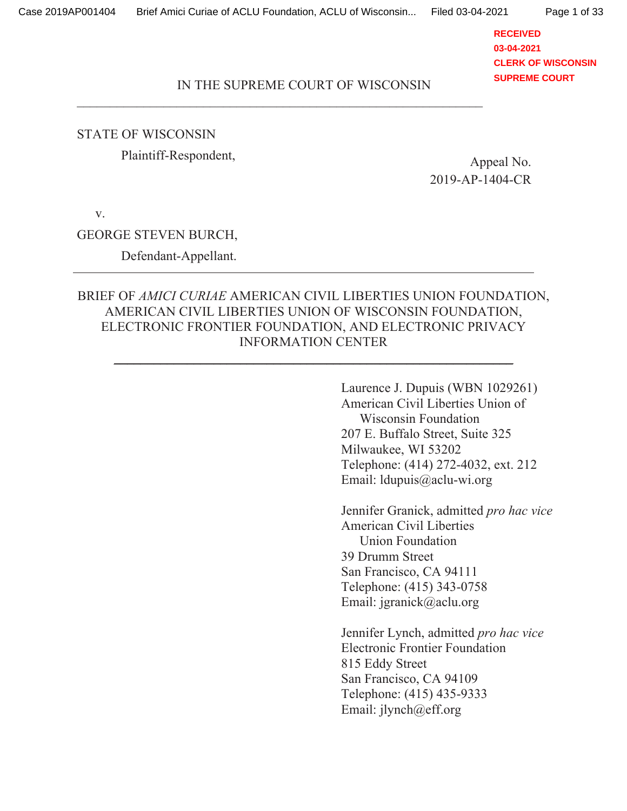**RECEIVED 03-04-2021 CLERK OF WISCONSIN SUPREME COURT**

### IN THE SUPREME COURT OF WISCONSIN

3333333333333333333333333333333333333333333333333333333333333

### **STATE OF WISCONSIN**

Plaintiff-Respondent, Appeal No.

2019-AP-1404-CR

V.

### GEORGE STEVEN BURCH,

Defendant-Appellant.

## BRIEF OF AMICI CURIAE AMERICAN CIVIL LIBERTIES UNION FOUNDATION, AMERICAN CIVIL LIBERTIES UNION OF WISCONSIN FOUNDATION, ELECTRONIC FRONTIER FOUNDATION, AND ELECTRONIC PRIVACY INFORMATION CENTER

333333333333333333333333333333333333333333333333333333333333

Laurence J. Dupuis (WBN 1029261) American Civil Liberties Union of Wisconsin Foundation 207 E. Buffalo Street, Suite 325 Milwaukee, WI 53202 Telephone: (414) 272-4032, ext. 212 Email: ldupuis@aclu-wi.org

Jennifer Granick, admitted pro hac vice American Civil Liberties Union Foundation 39 Drumm Street San Francisco, CA 94111 Telephone: (415) 343-0758 Email: jgranick@aclu.org

Jennifer Lynch, admitted pro hac vice Electronic Frontier Foundation 815 Eddy Street San Francisco, CA 94109 Telephone: (415) 435-9333 Email:  $ilynch@eff.org$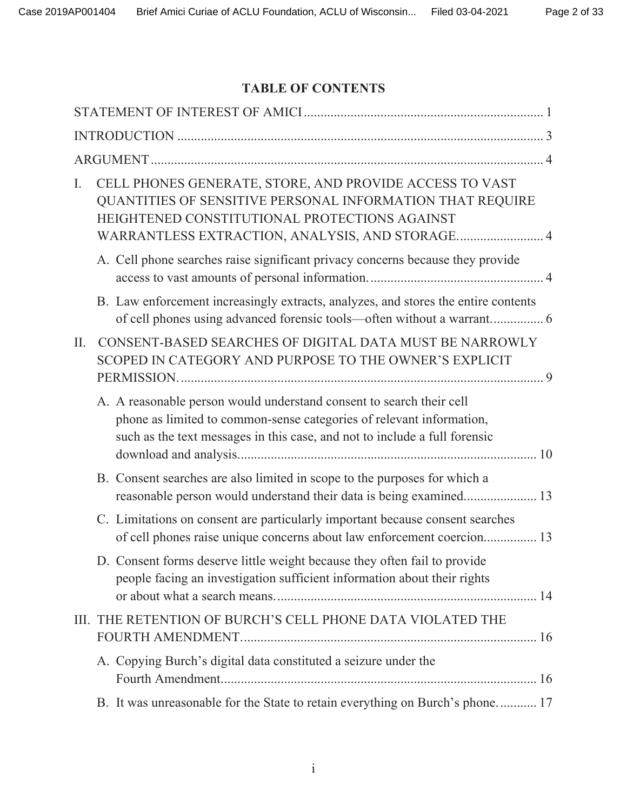# **TABLE OF CONTENTS**

| Ι.  | CELL PHONES GENERATE, STORE, AND PROVIDE ACCESS TO VAST<br>QUANTITIES OF SENSITIVE PERSONAL INFORMATION THAT REQUIRE<br>HEIGHTENED CONSTITUTIONAL PROTECTIONS AGAINST<br>WARRANTLESS EXTRACTION, ANALYSIS, AND STORAGE 4   |
|-----|----------------------------------------------------------------------------------------------------------------------------------------------------------------------------------------------------------------------------|
|     | A. Cell phone searches raise significant privacy concerns because they provide                                                                                                                                             |
|     | B. Law enforcement increasingly extracts, analyzes, and stores the entire contents<br>of cell phones using advanced forensic tools-often without a warrant 6                                                               |
| II. | CONSENT-BASED SEARCHES OF DIGITAL DATA MUST BE NARROWLY<br>SCOPED IN CATEGORY AND PURPOSE TO THE OWNER'S EXPLICIT                                                                                                          |
|     | A. A reasonable person would understand consent to search their cell<br>phone as limited to common-sense categories of relevant information,<br>such as the text messages in this case, and not to include a full forensic |
|     | B. Consent searches are also limited in scope to the purposes for which a<br>reasonable person would understand their data is being examined 13                                                                            |
|     | C. Limitations on consent are particularly important because consent searches<br>of cell phones raise unique concerns about law enforcement coercion 13                                                                    |
|     | D. Consent forms deserve little weight because they often fail to provide<br>people facing an investigation sufficient information about their rights                                                                      |
|     | III. THE RETENTION OF BURCH'S CELL PHONE DATA VIOLATED THE                                                                                                                                                                 |
|     | A. Copying Burch's digital data constituted a seizure under the                                                                                                                                                            |
|     | B. It was unreasonable for the State to retain everything on Burch's phone 17                                                                                                                                              |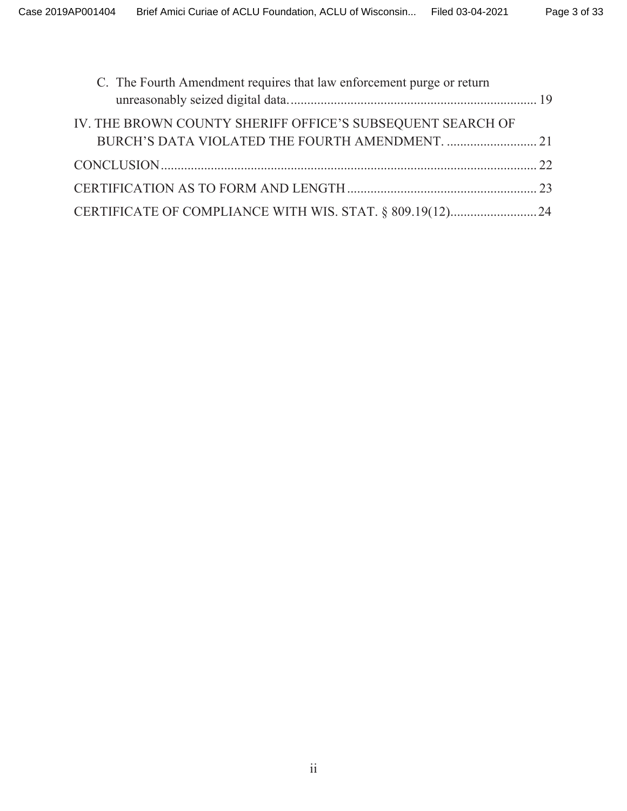| C. The Fourth Amendment requires that law enforcement purge or return |  |
|-----------------------------------------------------------------------|--|
| IV. THE BROWN COUNTY SHERIFF OFFICE'S SUBSEQUENT SEARCH OF            |  |
|                                                                       |  |
|                                                                       |  |
|                                                                       |  |
|                                                                       |  |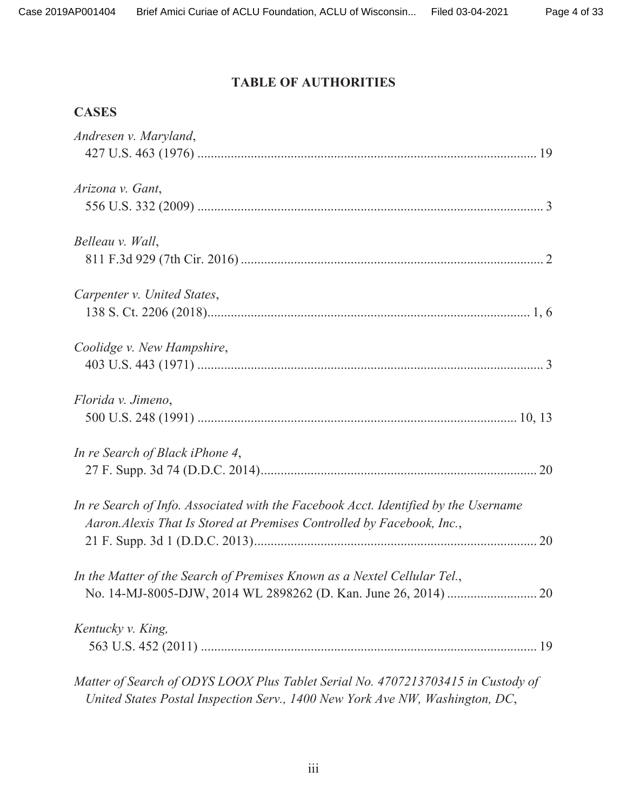# **TABLE OF AUTHORITIES**

# **CASES**

| Andresen v. Maryland,                                                               |
|-------------------------------------------------------------------------------------|
|                                                                                     |
| Arizona v. Gant,                                                                    |
|                                                                                     |
| Belleau v. Wall,                                                                    |
|                                                                                     |
| Carpenter v. United States,                                                         |
|                                                                                     |
| Coolidge v. New Hampshire,                                                          |
|                                                                                     |
| Florida v. Jimeno,                                                                  |
|                                                                                     |
| In re Search of Black iPhone 4,                                                     |
|                                                                                     |
| In re Search of Info. Associated with the Facebook Acct. Identified by the Username |
| Aaron. Alexis That Is Stored at Premises Controlled by Facebook, Inc.,              |
|                                                                                     |
| In the Matter of the Search of Premises Known as a Nextel Cellular Tel.,            |
|                                                                                     |
| Kentucky v. King,                                                                   |
|                                                                                     |
| Matter of Search of ODYS LOOX Plus Tablet Serial No. 4707213703415 in Custody of    |
| United States Postal Inspection Serv., 1400 New York Ave NW, Washington, DC,        |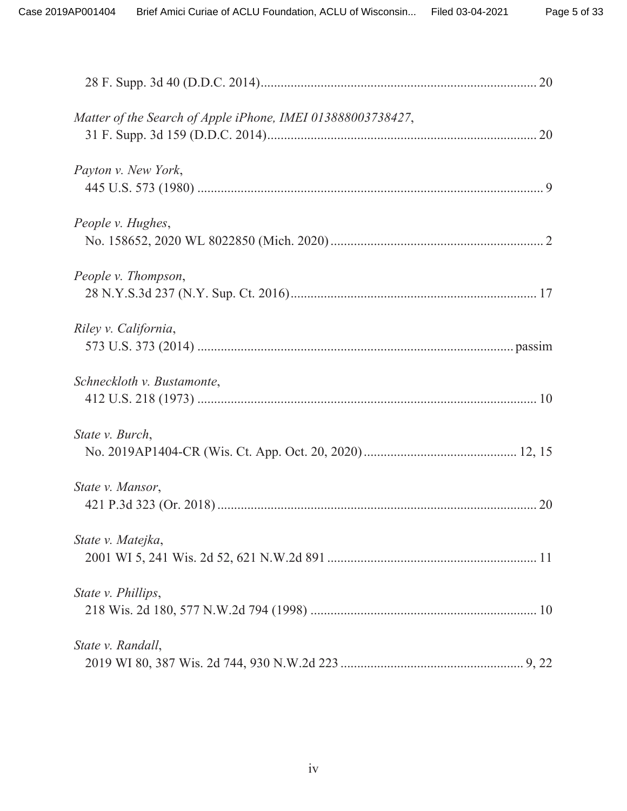| Matter of the Search of Apple iPhone, IMEI 013888003738427, |  |
|-------------------------------------------------------------|--|
| Payton v. New York,                                         |  |
| People v. Hughes,                                           |  |
| People v. Thompson,                                         |  |
| Riley v. California,                                        |  |
| Schneckloth v. Bustamonte,                                  |  |
| State v. Burch,                                             |  |
| State v. Mansor,                                            |  |
| State v. Matejka,                                           |  |
| State v. Phillips,                                          |  |
| State v. Randall,                                           |  |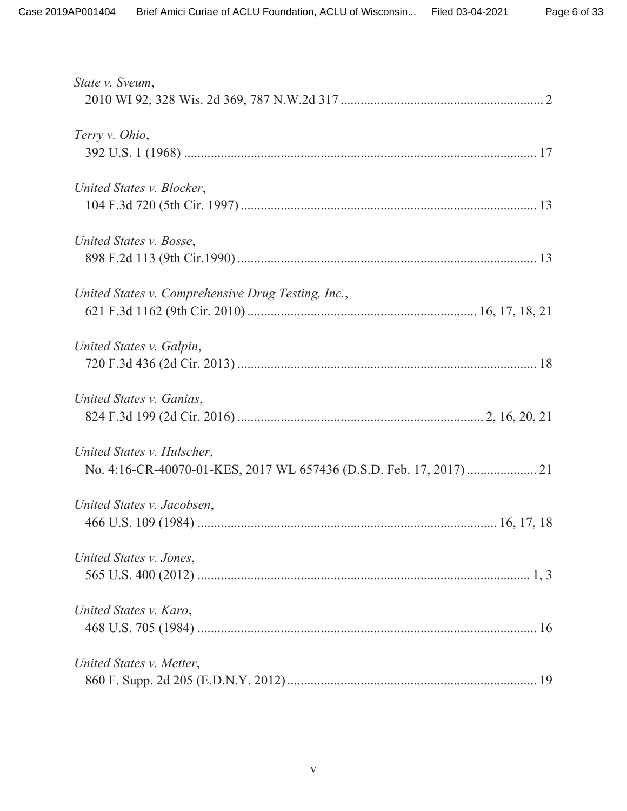| State v. Sveum,                                    |
|----------------------------------------------------|
| Terry v. Ohio,                                     |
| United States v. Blocker,                          |
| United States v. Bosse,                            |
| United States v. Comprehensive Drug Testing, Inc., |
| United States v. Galpin,                           |
| United States v. Ganias,                           |
| United States v. Hulscher,                         |
| United States v. Jacobsen,                         |
| United States v. Jones,                            |
| United States v. Karo,                             |
| United States v. Metter,                           |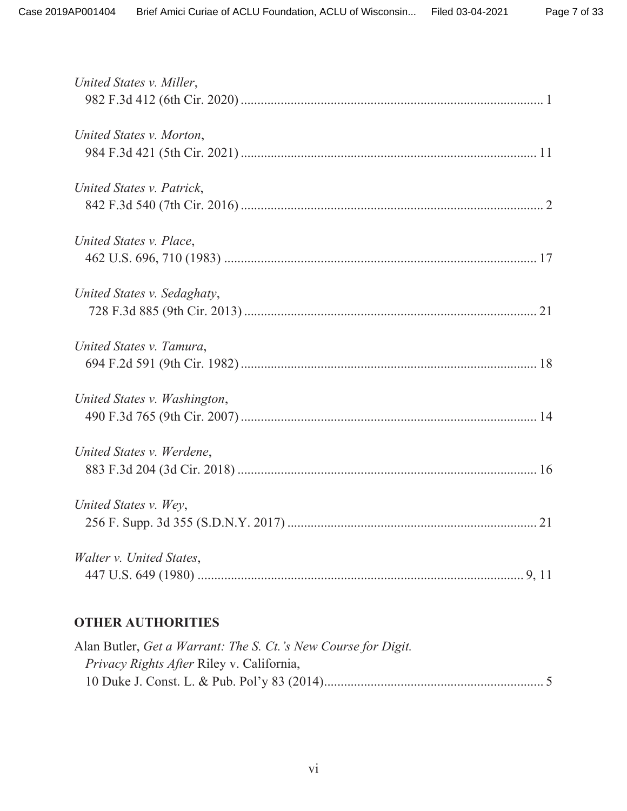| United States v. Miller,     |
|------------------------------|
| United States v. Morton,     |
| United States v. Patrick,    |
| United States v. Place,      |
| United States v. Sedaghaty,  |
| United States v. Tamura,     |
| United States v. Washington, |
| United States v. Werdene,    |
| United States v. Wey,        |
| Walter v. United States,     |

# **OTHER AUTHORITIES**

| Alan Butler, Get a Warrant: The S. Ct.'s New Course for Digit. |  |
|----------------------------------------------------------------|--|
| <i>Privacy Rights After Riley v. California,</i>               |  |
|                                                                |  |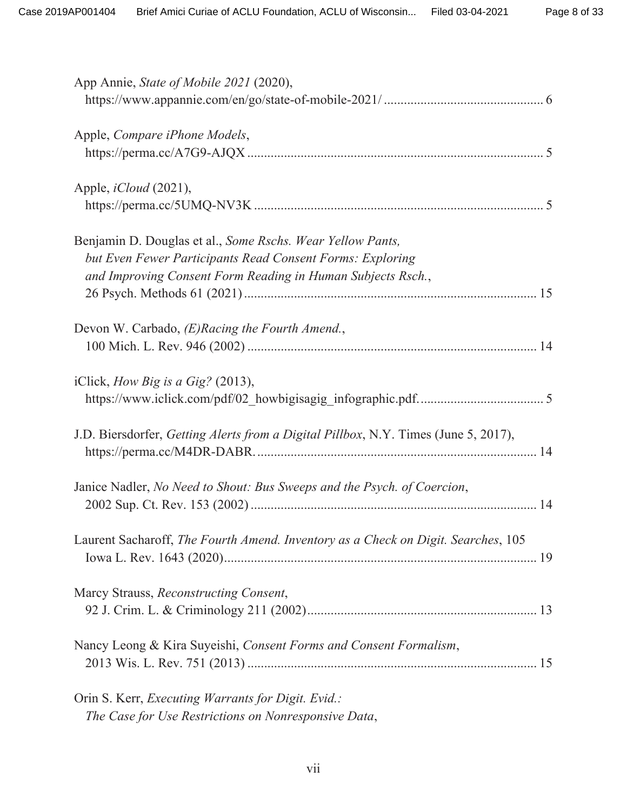| App Annie, State of Mobile 2021 (2020),                                             |
|-------------------------------------------------------------------------------------|
|                                                                                     |
| Apple, Compare iPhone Models,                                                       |
|                                                                                     |
| Apple, <i>iCloud</i> (2021),                                                        |
|                                                                                     |
| Benjamin D. Douglas et al., Some Rschs. Wear Yellow Pants,                          |
| but Even Fewer Participants Read Consent Forms: Exploring                           |
| and Improving Consent Form Reading in Human Subjects Rsch.,                         |
|                                                                                     |
| Devon W. Carbado, (E)Racing the Fourth Amend.,                                      |
|                                                                                     |
|                                                                                     |
| iClick, How Big is a Gig? (2013),                                                   |
|                                                                                     |
| J.D. Biersdorfer, Getting Alerts from a Digital Pillbox, N.Y. Times (June 5, 2017), |
|                                                                                     |
|                                                                                     |
| Janice Nadler, No Need to Shout: Bus Sweeps and the Psych. of Coercion,             |
|                                                                                     |
| Laurent Sacharoff, The Fourth Amend. Inventory as a Check on Digit. Searches, 105   |
|                                                                                     |
|                                                                                     |
| Marcy Strauss, Reconstructing Consent,                                              |
|                                                                                     |
| Nancy Leong & Kira Suyeishi, Consent Forms and Consent Formalism,                   |
|                                                                                     |
| Orin S. Kerr, Executing Warrants for Digit. Evid.:                                  |
| The Case for Use Restrictions on Nonresponsive Data,                                |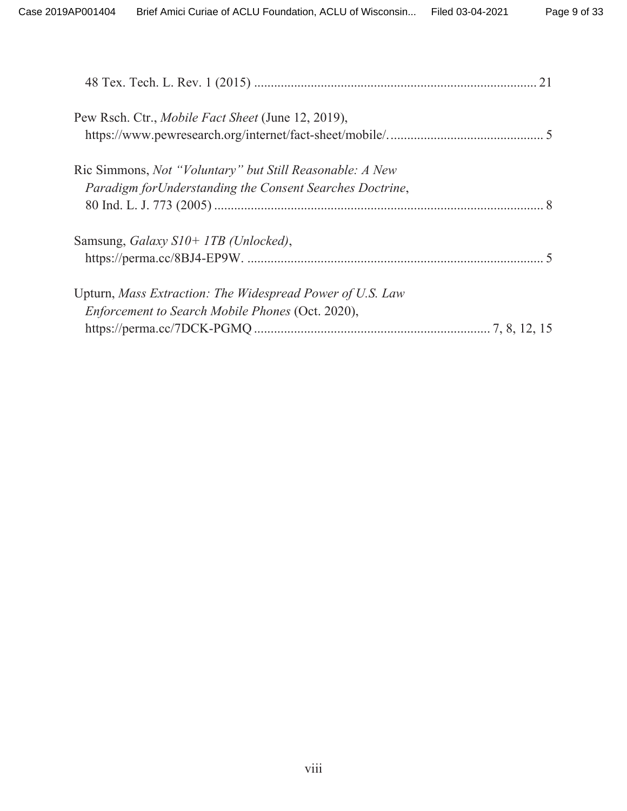| Pew Rsch. Ctr., Mobile Fact Sheet (June 12, 2019),              |  |
|-----------------------------------------------------------------|--|
|                                                                 |  |
| Ric Simmons, <i>Not "Voluntary" but Still Reasonable: A New</i> |  |
| Paradigm for Understanding the Consent Searches Doctrine,       |  |
|                                                                 |  |
| Samsung, Galaxy S10+ 1TB (Unlocked),                            |  |
|                                                                 |  |
| Upturn, Mass Extraction: The Widespread Power of U.S. Law       |  |
| Enforcement to Search Mobile Phones (Oct. 2020),                |  |
|                                                                 |  |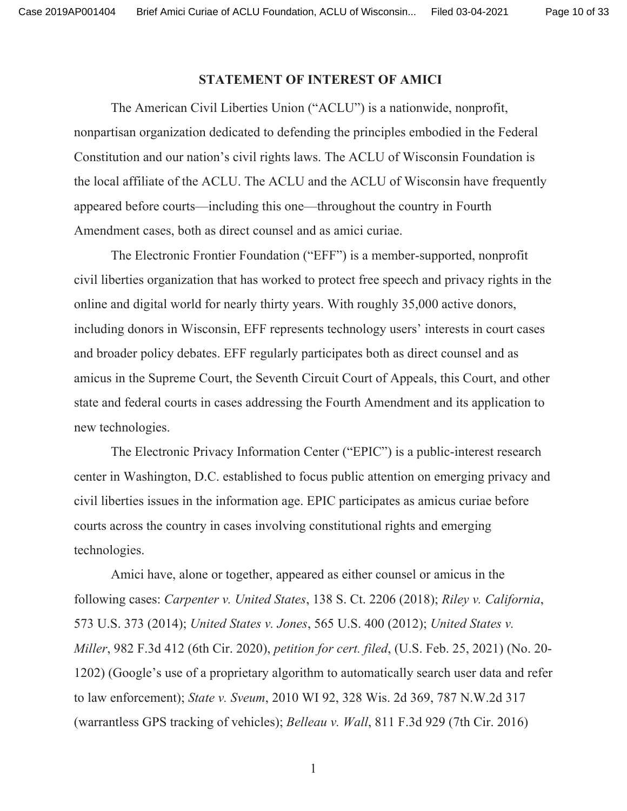Page 10 of 33

## **STATEMENT OF INTEREST OF AMICI**

The American Civil Liberties Union ("ACLU") is a nationwide, nonprofit, nonpartisan organization dedicated to defending the principles embodied in the Federal Constitution and our nation's civil rights laws. The ACLU of Wisconsin Foundation is the local affiliate of the ACLU. The ACLU and the ACLU of Wisconsin have frequently appeared before courts—including this one—throughout the country in Fourth Amendment cases, both as direct counsel and as amici curiae.

The Electronic Frontier Foundation ("EFF") is a member-supported, nonprofit civil liberties organization that has worked to protect free speech and privacy rights in the online and digital world for nearly thirty years. With roughly 35,000 active donors, including donors in Wisconsin, EFF represents technology users' interests in court cases and broader policy debates. EFF regularly participates both as direct counsel and as amicus in the Supreme Court, the Seventh Circuit Court of Appeals, this Court, and other state and federal courts in cases addressing the Fourth Amendment and its application to new technologies.

The Electronic Privacy Information Center ("EPIC") is a public-interest research center in Washington, D.C. established to focus public attention on emerging privacy and civil liberties issues in the information age. EPIC participates as amicus curiae before courts across the country in cases involving constitutional rights and emerging technologies.

Amici have, alone or together, appeared as either counsel or amicus in the following cases: Carpenter v. United States, 138 S. Ct. 2206 (2018); Riley v. California, 573 U.S. 373 (2014); *United States v. Jones*, 565 U.S. 400 (2012); *United States v. Miller*, 982 F.3d 412 (6th Cir. 2020), *petition for cert. filed*, (U.S. Feb. 25, 2021) (No. 20-1202) (Google's use of a proprietary algorithm to automatically search user data and refer to law enforcement); State v. Sveum, 2010 WI 92, 328 Wis. 2d 369, 787 N.W.2d 317 (warrantless GPS tracking of vehicles); *Belleau v. Wall*, 811 F.3d 929 (7th Cir. 2016)

 $\mathbf{1}$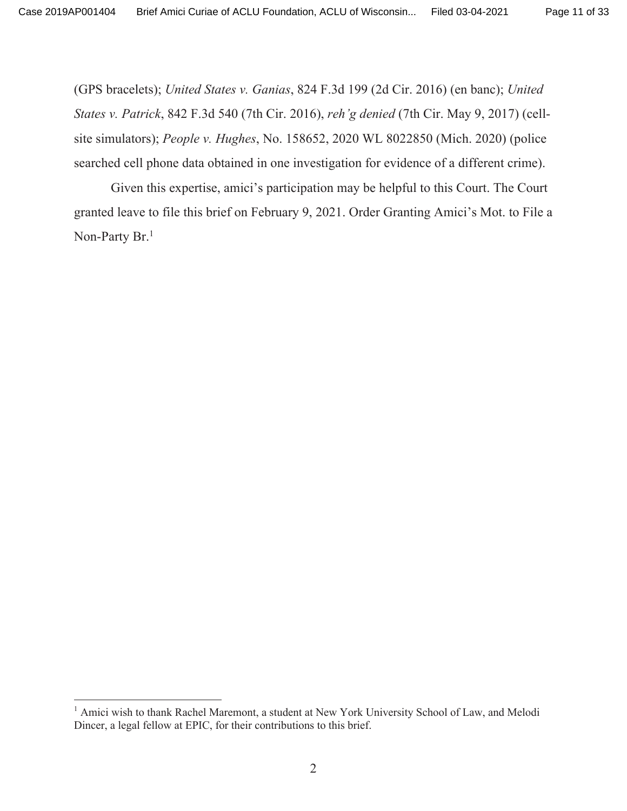(GPS bracelets); United States v. Ganias, 824 F.3d 199 (2d Cir. 2016) (en banc); United States v. Patrick, 842 F.3d 540 (7th Cir. 2016), reh'g denied (7th Cir. May 9, 2017) (cellsite simulators); People v. Hughes, No. 158652, 2020 WL 8022850 (Mich. 2020) (police searched cell phone data obtained in one investigation for evidence of a different crime).

Given this expertise, amici's participation may be helpful to this Court. The Court granted leave to file this brief on February 9, 2021. Order Granting Amici's Mot. to File a Non-Party Br.<sup>1</sup>

<sup>&</sup>lt;sup>1</sup> Amici wish to thank Rachel Maremont, a student at New York University School of Law, and Melodi Dincer, a legal fellow at EPIC, for their contributions to this brief.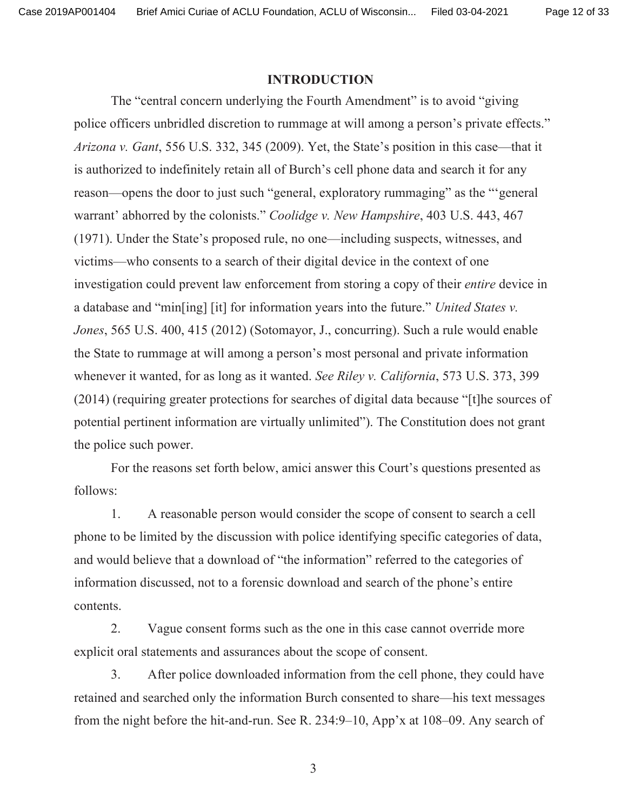Case 2019AP001404 Brief Amici Curiae of ACLU Foundation, ACLU of Wisconsin... Page 12 of 33

### **INTRODUCTION**

The "central concern underlying the Fourth Amendment" is to avoid "giving" police officers unbridled discretion to rummage at will among a person's private effects." Arizona v. Gant, 556 U.S. 332, 345 (2009). Yet, the State's position in this case—that it is authorized to indefinitely retain all of Burch's cell phone data and search it for any reason—opens the door to just such "general, exploratory rummaging" as the "general warrant' abhorred by the colonists." Coolidge v. New Hampshire, 403 U.S. 443, 467 (1971). Under the State's proposed rule, no one—including suspects, witnesses, and victims—who consents to a search of their digital device in the context of one investigation could prevent law enforcement from storing a copy of their *entire* device in a database and "min[ing] [it] for information years into the future." United States v. Jones, 565 U.S. 400, 415 (2012) (Sotomayor, J., concurring). Such a rule would enable the State to rummage at will among a person's most personal and private information whenever it wanted, for as long as it wanted. See Riley v. California, 573 U.S. 373, 399 (2014) (requiring greater protections for searches of digital data because "[t] he sources of potential pertinent information are virtually unlimited"). The Constitution does not grant the police such power.

For the reasons set forth below, amici answer this Court's questions presented as follows:

 $1<sub>1</sub>$ A reasonable person would consider the scope of consent to search a cell phone to be limited by the discussion with police identifying specific categories of data, and would believe that a download of "the information" referred to the categories of information discussed, not to a forensic download and search of the phone's entire contents.

2. Vague consent forms such as the one in this case cannot override more explicit oral statements and assurances about the scope of consent.

 $3.$ After police downloaded information from the cell phone, they could have retained and searched only the information Burch consented to share—his text messages from the night before the hit-and-run. See R.  $234:9-10$ , App'x at  $108-09$ . Any search of

 $\overline{3}$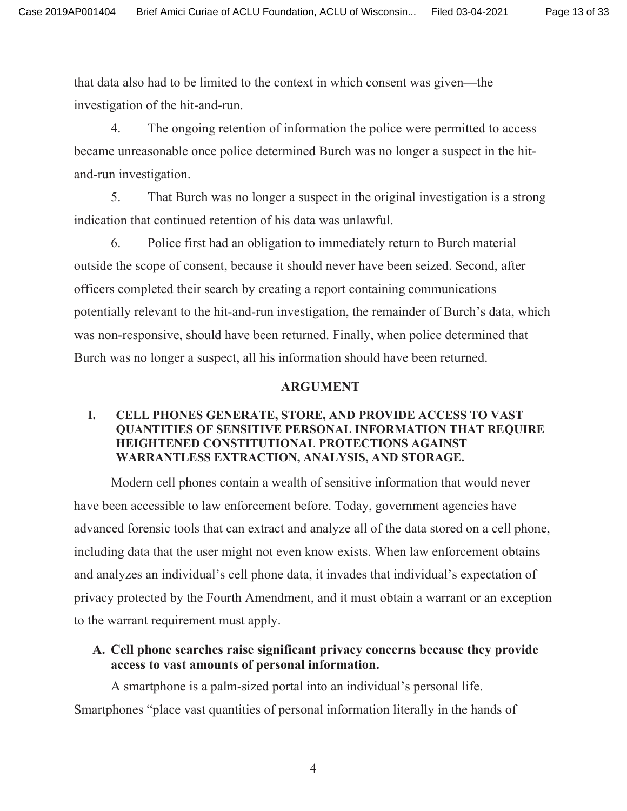that data also had to be limited to the context in which consent was given—the investigation of the hit-and-run.

4. The ongoing retention of information the police were permitted to access became unreasonable once police determined Burch was no longer a suspect in the hitand-run investigation.

5. That Burch was no longer a suspect in the original investigation is a strong indication that continued retention of his data was unlawful.

6. Police first had an obligation to immediately return to Burch material outside the scope of consent, because it should never have been seized. Second, after officers completed their search by creating a report containing communications potentially relevant to the hit-and-run investigation, the remainder of Burch's data, which was non-responsive, should have been returned. Finally, when police determined that Burch was no longer a suspect, all his information should have been returned.

### **ARGUMENT**

### **I.** CELL PHONES GENERATE, STORE, AND PROVIDE ACCESS TO VAST **QUANTITIES OF SENSITIVE PERSONAL INFORMATION THAT REQUIRE** HEIGHTENED CONSTITUTIONAL PROTECTIONS AGAINST WARRANTLESS EXTRACTION, ANALYSIS, AND STORAGE.

Modern cell phones contain a wealth of sensitive information that would never have been accessible to law enforcement before. Today, government agencies have advanced forensic tools that can extract and analyze all of the data stored on a cell phone, including data that the user might not even know exists. When law enforcement obtains and analyzes an individual's cell phone data, it invades that individual's expectation of privacy protected by the Fourth Amendment, and it must obtain a warrant or an exception to the warrant requirement must apply.

## A. Cell phone searches raise significant privacy concerns because they provide access to vast amounts of personal information.

A smartphone is a palm-sized portal into an individual's personal life. Smartphones "place vast quantities of personal information literally in the hands of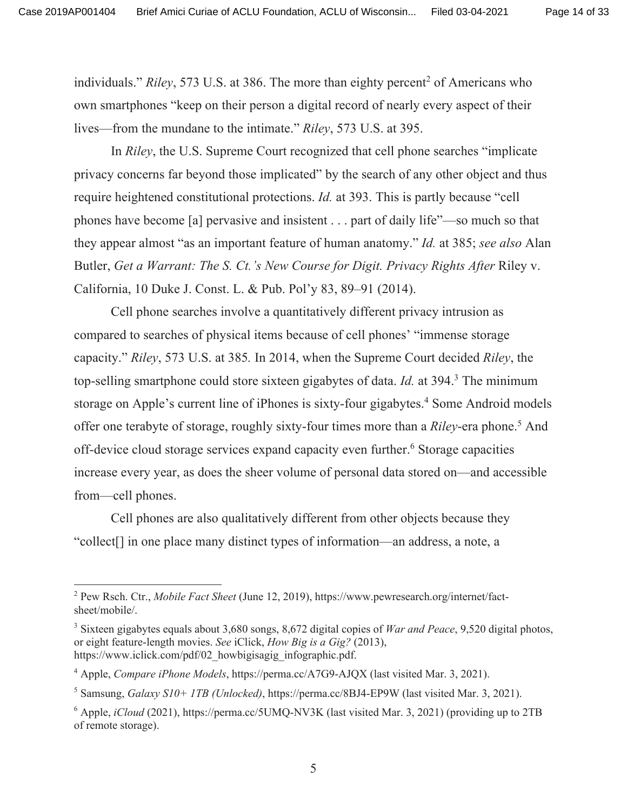individuals." Riley, 573 U.S. at 386. The more than eighty percent<sup>2</sup> of Americans who own smartphones "keep on their person a digital record of nearly every aspect of their lives—from the mundane to the intimate." Riley, 573 U.S. at 395.

In Riley, the U.S. Supreme Court recognized that cell phone searches "implicate" privacy concerns far beyond those implicated" by the search of any other object and thus require heightened constitutional protections. *Id.* at 393. This is partly because "cell" phones have become [a] pervasive and insistent . . . part of daily life"—so much so that they appear almost "as an important feature of human anatomy." Id. at 385; see also Alan Butler, Get a Warrant: The S. Ct.'s New Course for Digit. Privacy Rights After Riley v. California, 10 Duke J. Const. L. & Pub. Pol'y 83, 89–91 (2014).

Cell phone searches involve a quantitatively different privacy intrusion as compared to searches of physical items because of cell phones' "immense storage" capacity." Riley, 573 U.S. at 385. In 2014, when the Supreme Court decided Riley, the top-selling smartphone could store sixteen gigabytes of data. Id. at 394.<sup>3</sup> The minimum storage on Apple's current line of iPhones is sixty-four gigabytes.<sup>4</sup> Some Android models offer one terabyte of storage, roughly sixty-four times more than a *Riley*-era phone.<sup>5</sup> And off-device cloud storage services expand capacity even further.<sup>6</sup> Storage capacities increase every year, as does the sheer volume of personal data stored on—and accessible from—cell phones.

Cell phones are also qualitatively different from other objects because they "collect<sup>[]</sup> in one place many distinct types of information—an address, a note, a

<sup>&</sup>lt;sup>2</sup> Pew Rsch. Ctr., Mobile Fact Sheet (June 12, 2019), https://www.pewresearch.org/internet/factsheet/mobile/.

<sup>&</sup>lt;sup>3</sup> Sixteen gigabytes equals about 3,680 songs, 8,672 digital copies of *War and Peace*, 9,520 digital photos, or eight feature-length movies. See iClick, How Big is a Gig? (2013), https://www.iclick.com/pdf/02 howbigisagig infographic.pdf.

<sup>&</sup>lt;sup>4</sup> Apple, Compare iPhone Models, https://perma.cc/A7G9-AJQX (last visited Mar. 3, 2021).

<sup>&</sup>lt;sup>5</sup> Samsung, *Galaxy S10+ 1TB (Unlocked)*, https://perma.cc/8BJ4-EP9W (last visited Mar. 3, 2021).

 $^6$  Apple, *iCloud* (2021), https://perma.cc/5UMQ-NV3K (last visited Mar. 3, 2021) (providing up to 2TB of remote storage).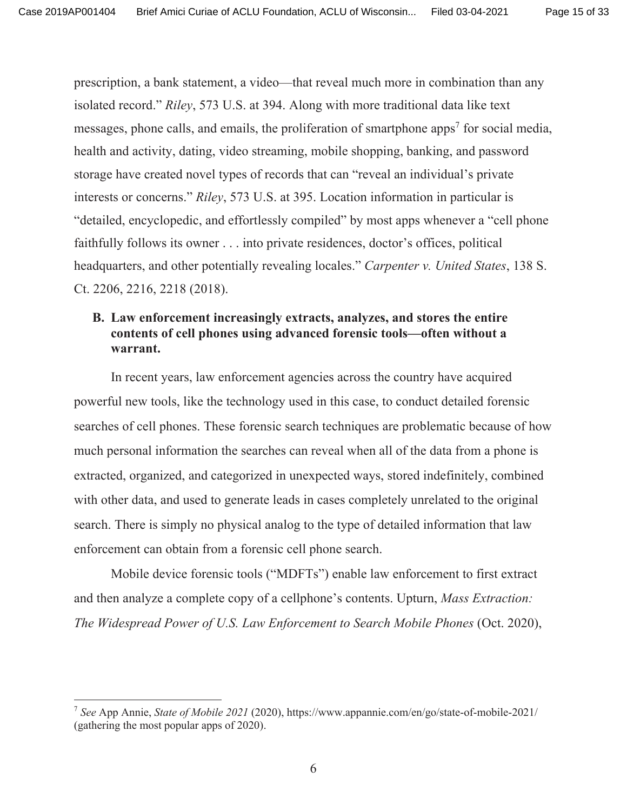prescription, a bank statement, a video—that reveal much more in combination than any isolated record." Riley, 573 U.S. at 394. Along with more traditional data like text messages, phone calls, and emails, the proliferation of smartphone apps<sup>7</sup> for social media, health and activity, dating, video streaming, mobile shopping, banking, and password storage have created novel types of records that can "reveal an individual's private interests or concerns." Riley, 573 U.S. at 395. Location information in particular is detailed, encyclopedic, and effortlessly compiled" by most apps whenever a "cell phone" faithfully follows its owner  $\dots$  into private residences, doctor's offices, political headquarters, and other potentially revealing locales." Carpenter v. United States, 138 S. Ct. 2206, 2216, 2218 (2018).

## **B.** Law enforcement increasingly extracts, analyzes, and stores the entire contents of cell phones using advanced forensic tools—often without a warrant.

In recent years, law enforcement agencies across the country have acquired powerful new tools, like the technology used in this case, to conduct detailed forensic searches of cell phones. These forensic search techniques are problematic because of how much personal information the searches can reveal when all of the data from a phone is extracted, organized, and categorized in unexpected ways, stored indefinitely, combined with other data, and used to generate leads in cases completely unrelated to the original search. There is simply no physical analog to the type of detailed information that law enforcement can obtain from a forensic cell phone search.

Mobile device forensic tools ("MDFTs") enable law enforcement to first extract and then analyze a complete copy of a cellphone's contents. Upturn, *Mass Extraction*: *The Widespread Power of U.S. Law Enforcement to Search Mobile Phones (Oct. 2020),* 

<sup>&</sup>lt;sup>7</sup> See App Annie, State of Mobile 2021 (2020), https://www.appannie.com/en/go/state-of-mobile-2021/ (gathering the most popular apps of 2020).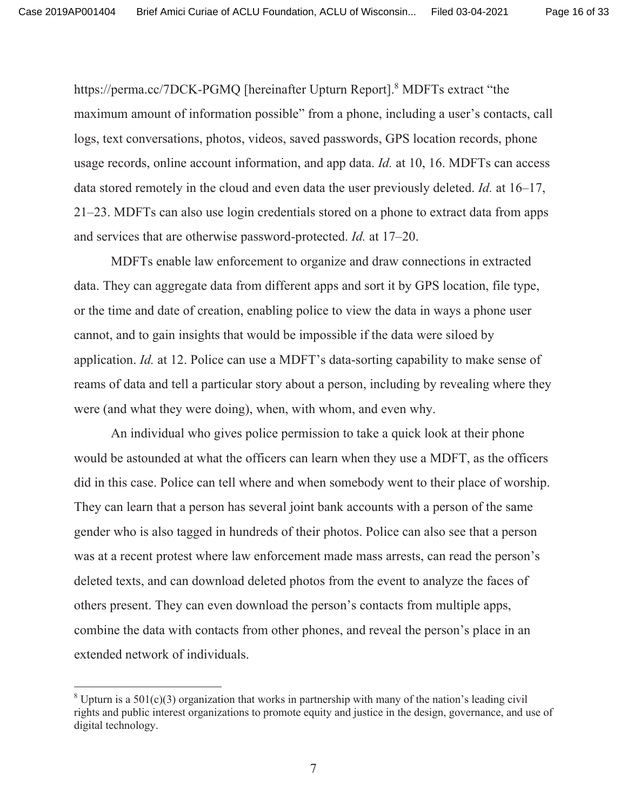Page 16 of 33

https://perma.cc/7DCK-PGMQ [hereinafter Upturn Report].<sup>8</sup> MDFTs extract "the maximum amount of information possible" from a phone, including a user's contacts, call logs, text conversations, photos, videos, saved passwords, GPS location records, phone usage records, online account information, and app data. *Id.* at 10, 16. MDFTs can access data stored remotely in the cloud and even data the user previously deleted. *Id.* at 16–17, 21–23. MDFTs can also use login credentials stored on a phone to extract data from apps and services that are otherwise password-protected. *Id.* at 17–20.

MDFTs enable law enforcement to organize and draw connections in extracted data. They can aggregate data from different apps and sort it by GPS location, file type, or the time and date of creation, enabling police to view the data in ways a phone user cannot, and to gain insights that would be impossible if the data were siloed by application. *Id.* at 12. Police can use a MDFT's data-sorting capability to make sense of reams of data and tell a particular story about a person, including by revealing where they were (and what they were doing), when, with whom, and even why.

An individual who gives police permission to take a quick look at their phone would be astounded at what the officers can learn when they use a MDFT, as the officers did in this case. Police can tell where and when somebody went to their place of worship. They can learn that a person has several joint bank accounts with a person of the same gender who is also tagged in hundreds of their photos. Police can also see that a person was at a recent protest where law enforcement made mass arrests, can read the person's deleted texts, and can download deleted photos from the event to analyze the faces of others present. They can even download the person's contacts from multiple apps, combine the data with contacts from other phones, and reveal the person's place in an extended network of individuals.

<sup>&</sup>lt;sup>8</sup> Upturn is a 501(c)(3) organization that works in partnership with many of the nation's leading civil rights and public interest organizations to promote equity and justice in the design, governance, and use of digital technology.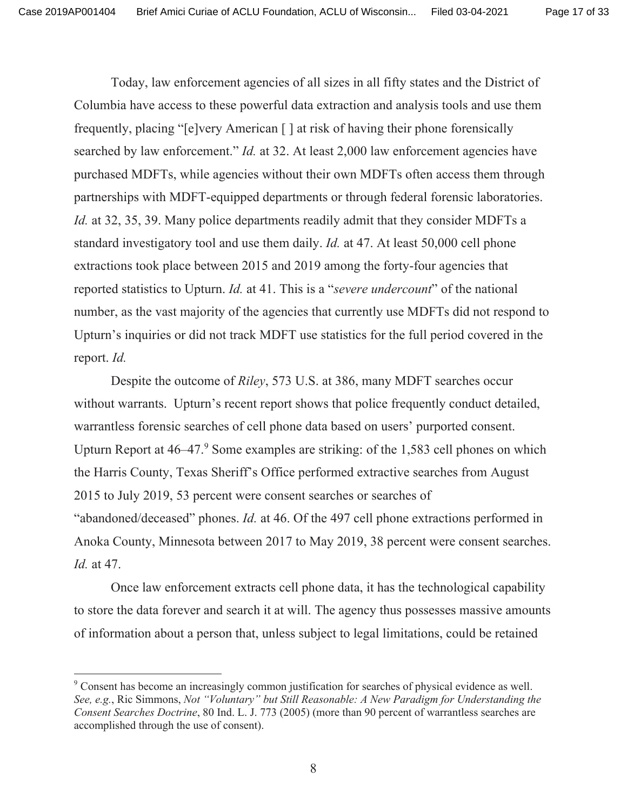Today, law enforcement agencies of all sizes in all fifty states and the District of Columbia have access to these powerful data extraction and analysis tools and use them frequently, placing "[e]very American [] at risk of having their phone forensically searched by law enforcement." *Id.* at 32. At least 2,000 law enforcement agencies have purchased MDFTs, while agencies without their own MDFTs often access them through partnerships with MDFT-equipped departments or through federal forensic laboratories. *Id.* at 32, 35, 39. Many police departments readily admit that they consider MDFTs a standard investigatory tool and use them daily. *Id.* at 47. At least 50,000 cell phone extractions took place between 2015 and 2019 among the forty-four agencies that reported statistics to Upturn. *Id.* at 41. This is a "*severe undercount*" of the national number, as the vast majority of the agencies that currently use MDFTs did not respond to Upturn's inquiries or did not track MDFT use statistics for the full period covered in the report. *Id.* 

Despite the outcome of *Riley*, 573 U.S. at 386, many MDFT searches occur without warrants. Upturn's recent report shows that police frequently conduct detailed, warrantless forensic searches of cell phone data based on users' purported consent. Upturn Report at  $46-47$ .<sup>9</sup> Some examples are striking: of the 1,583 cell phones on which the Harris County, Texas Sheriff's Office performed extractive searches from August 2015 to July 2019, 53 percent were consent searches or searches of "abandoned/deceased" phones. *Id.* at 46. Of the 497 cell phone extractions performed in Anoka County, Minnesota between 2017 to May 2019, 38 percent were consent searches. *Id.* at 47.

Once law enforcement extracts cell phone data, it has the technological capability to store the data forever and search it at will. The agency thus possesses massive amounts of information about a person that, unless subject to legal limitations, could be retained

 $^9$  Consent has become an increasingly common justification for searches of physical evidence as well. See, e.g., Ric Simmons, Not "Voluntary" but Still Reasonable: A New Paradigm for Understanding the Consent Searches Doctrine, 80 Ind. L. J. 773 (2005) (more than 90 percent of warrantless searches are accomplished through the use of consent).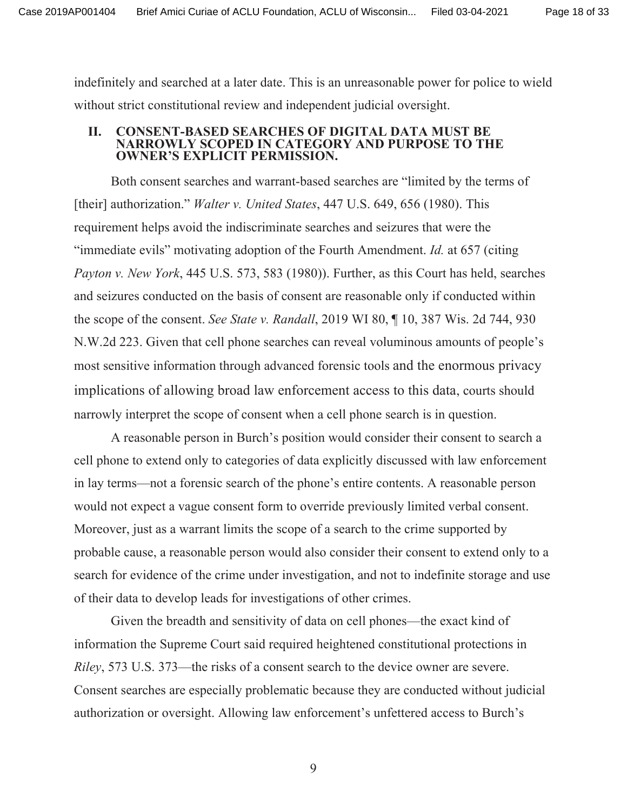Page 18 of 33

indefinitely and searched at a later date. This is an unreasonable power for police to wield without strict constitutional review and independent judicial oversight.

#### **CONSENT-BASED SEARCHES OF DIGITAL DATA MUST BE** П. NARROWLY SCOPED IN CATEGORY AND PURPOSE TO THE **OWNER'S EXPLICIT PERMISSION.**

Both consent searches and warrant-based searches are "limited by the terms of [their] authorization." *Walter v. United States*, 447 U.S. 649, 656 (1980). This requirement helps avoid the indiscriminate searches and seizures that were the "immediate evils" motivating adoption of the Fourth Amendment. *Id.* at 657 (citing Payton v. New York, 445 U.S. 573, 583 (1980)). Further, as this Court has held, searches and seizures conducted on the basis of consent are reasonable only if conducted within the scope of the consent. See State v. Randall, 2019 WI 80, ¶ 10, 387 Wis. 2d 744, 930 N.W.2d 223. Given that cell phone searches can reveal voluminous amounts of people's most sensitive information through advanced forensic tools and the enormous privacy implications of allowing broad law enforcement access to this data, courts should narrowly interpret the scope of consent when a cell phone search is in question.

A reasonable person in Burch's position would consider their consent to search a cell phone to extend only to categories of data explicitly discussed with law enforcement in lay terms—not a forensic search of the phone's entire contents. A reasonable person would not expect a vague consent form to override previously limited verbal consent. Moreover, just as a warrant limits the scope of a search to the crime supported by probable cause, a reasonable person would also consider their consent to extend only to a search for evidence of the crime under investigation, and not to indefinite storage and use of their data to develop leads for investigations of other crimes.

Given the breadth and sensitivity of data on cell phones—the exact kind of information the Supreme Court said required heightened constitutional protections in *Rilev*, 573 U.S. 373—the risks of a consent search to the device owner are severe. Consent searches are especially problematic because they are conducted without judicial authorization or oversight. Allowing law enforcement's unfettered access to Burch's

 $\mathbf Q$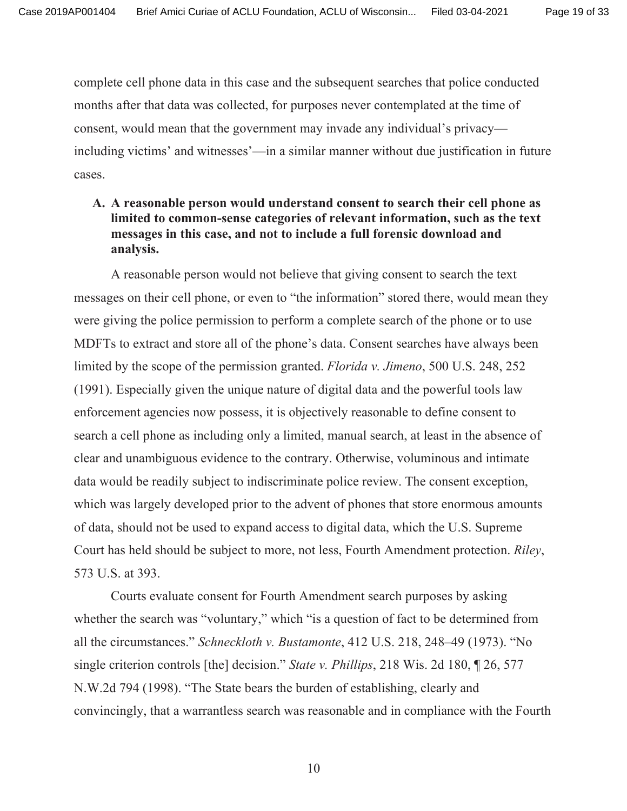complete cell phone data in this case and the subsequent searches that police conducted months after that data was collected, for purposes never contemplated at the time of consent, would mean that the government may invade any individual's privacy including victims' and witnesses'—in a similar manner without due justification in future cases.

A. A reasonable person would understand consent to search their cell phone as limited to common-sense categories of relevant information, such as the text messages in this case, and not to include a full forensic download and analysis.

A reasonable person would not believe that giving consent to search the text messages on their cell phone, or even to "the information" stored there, would mean they were giving the police permission to perform a complete search of the phone or to use MDFTs to extract and store all of the phone's data. Consent searches have always been limited by the scope of the permission granted. *Florida v. Jimeno*, 500 U.S. 248, 252 (1991). Especially given the unique nature of digital data and the powerful tools law enforcement agencies now possess, it is objectively reasonable to define consent to search a cell phone as including only a limited, manual search, at least in the absence of clear and unambiguous evidence to the contrary. Otherwise, voluminous and intimate data would be readily subject to indiscriminate police review. The consent exception, which was largely developed prior to the advent of phones that store enormous amounts of data, should not be used to expand access to digital data, which the U.S. Supreme Court has held should be subject to more, not less, Fourth Amendment protection. Riley, 573 U.S. at 393.

Courts evaluate consent for Fourth Amendment search purposes by asking whether the search was "voluntary," which "is a question of fact to be determined from all the circumstances." Schneckloth v. Bustamonte, 412 U.S. 218, 248–49 (1973). "No single criterion controls [the] decision." State v. Phillips, 218 Wis. 2d 180, 126, 577 N.W.2d 794 (1998). "The State bears the burden of establishing, clearly and convincingly, that a warrantless search was reasonable and in compliance with the Fourth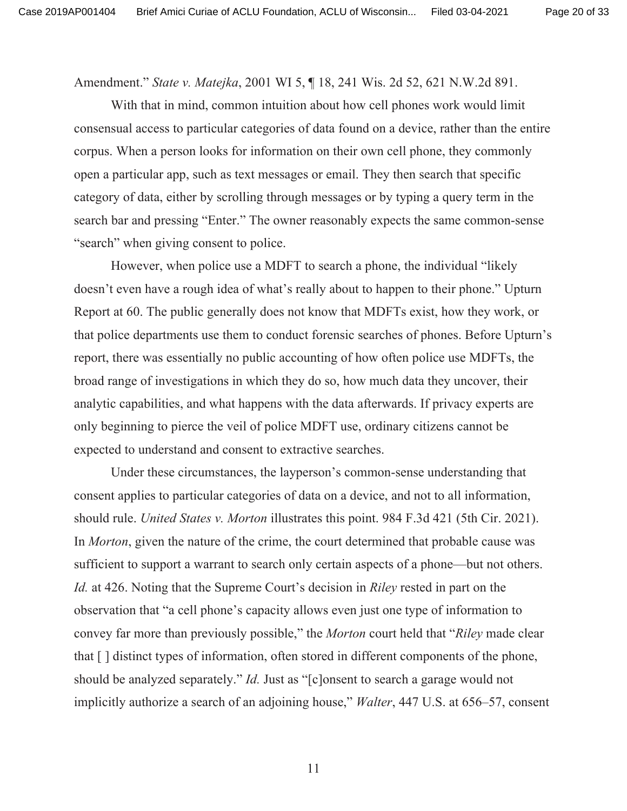Page 20 of 33

Amendment." State v. Matejka, 2001 WI 5, ¶ 18, 241 Wis. 2d 52, 621 N.W.2d 891.

With that in mind, common intuition about how cell phones work would limit consensual access to particular categories of data found on a device, rather than the entire corpus. When a person looks for information on their own cell phone, they commonly open a particular app, such as text messages or email. They then search that specific category of data, either by scrolling through messages or by typing a query term in the search bar and pressing "Enter." The owner reasonably expects the same common-sense "search" when giving consent to police.

However, when police use a MDFT to search a phone, the individual "likely" doesn't even have a rough idea of what's really about to happen to their phone." Upturn Report at 60. The public generally does not know that MDFTs exist, how they work, or that police departments use them to conduct forensic searches of phones. Before Upturn's report, there was essentially no public accounting of how often police use MDFTs, the broad range of investigations in which they do so, how much data they uncover, their analytic capabilities, and what happens with the data afterwards. If privacy experts are only beginning to pierce the veil of police MDFT use, ordinary citizens cannot be expected to understand and consent to extractive searches.

Under these circumstances, the layperson's common-sense understanding that consent applies to particular categories of data on a device, and not to all information, should rule. United States v. Morton illustrates this point. 984 F.3d 421 (5th Cir. 2021). In *Morton*, given the nature of the crime, the court determined that probable cause was sufficient to support a warrant to search only certain aspects of a phone—but not others. *Id.* at 426. Noting that the Supreme Court's decision in *Riley* rested in part on the observation that "a cell phone's capacity allows even just one type of information to convey far more than previously possible," the *Morton* court held that "*Riley* made clear" that [] distinct types of information, often stored in different components of the phone, should be analyzed separately." *Id.* Just as "[c]onsent to search a garage would not implicitly authorize a search of an adjoining house," *Walter*, 447 U.S. at 656–57, consent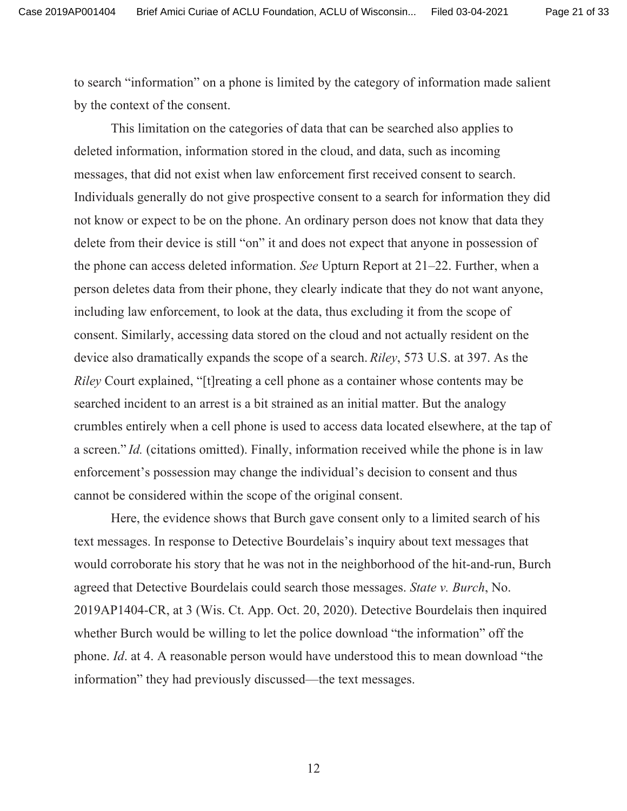to search "information" on a phone is limited by the category of information made salient by the context of the consent.

This limitation on the categories of data that can be searched also applies to deleted information, information stored in the cloud, and data, such as incoming messages, that did not exist when law enforcement first received consent to search. Individuals generally do not give prospective consent to a search for information they did not know or expect to be on the phone. An ordinary person does not know that data they delete from their device is still "on" it and does not expect that anyone in possession of the phone can access deleted information. See Upturn Report at  $21-22$ . Further, when a person deletes data from their phone, they clearly indicate that they do not want anyone, including law enforcement, to look at the data, thus excluding it from the scope of consent. Similarly, accessing data stored on the cloud and not actually resident on the device also dramatically expands the scope of a search. *Riley*, 573 U.S. at 397. As the *Riley* Court explained, "[t] reating a cell phone as a container whose contents may be searched incident to an arrest is a bit strained as an initial matter. But the analogy erumbles entirely when a cell phone is used to access data located elsewhere, at the tap of a screen." *Id.* (citations omitted). Finally, information received while the phone is in law enforcement's possession may change the individual's decision to consent and thus cannot be considered within the scope of the original consent.

Here, the evidence shows that Burch gave consent only to a limited search of his text messages. In response to Detective Bourdelais's inquiry about text messages that would corroborate his story that he was not in the neighborhood of the hit-and-run, Burch agreed that Detective Bourdelais could search those messages. State v. Burch, No.  $2019AP1404-CR$ , at 3 (Wis. Ct. App. Oct. 20, 2020). Detective Bourdelais then inquired whether Burch would be willing to let the police download "the information" off the phone. *Id.* at 4. A reasonable person would have understood this to mean download "the information" they had previously discussed—the text messages.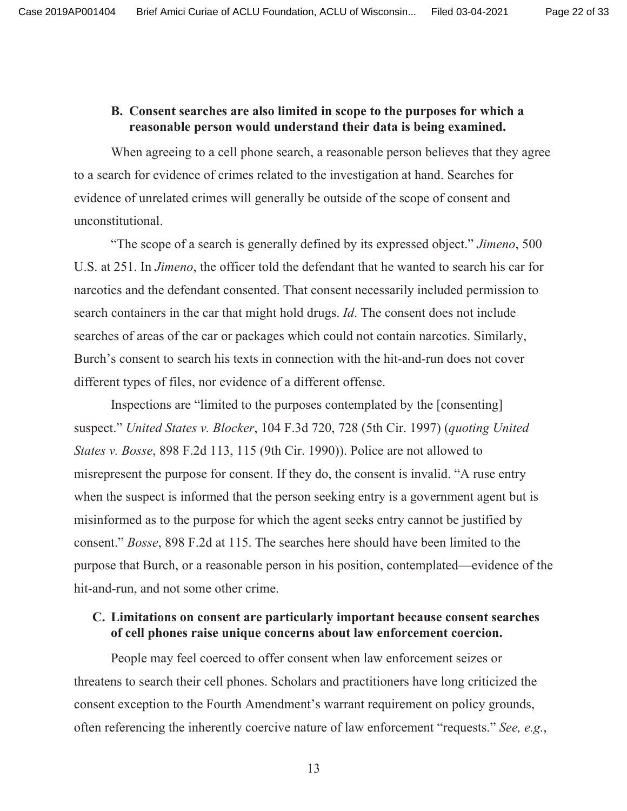## B. Consent searches are also limited in scope to the purposes for which a reasonable person would understand their data is being examined.

When agreeing to a cell phone search, a reasonable person believes that they agree to a search for evidence of crimes related to the investigation at hand. Searches for evidence of unrelated crimes will generally be outside of the scope of consent and unconstitutional.

"The scope of a search is generally defined by its expressed object." Jimeno, 500 U.S. at 251. In *Jimeno*, the officer told the defendant that he wanted to search his car for narcotics and the defendant consented. That consent necessarily included permission to search containers in the car that might hold drugs. *Id*. The consent does not include searches of areas of the car or packages which could not contain narcotics. Similarly, Burch's consent to search his texts in connection with the hit-and-run does not cover different types of files, nor evidence of a different offense.

Inspections are "limited to the purposes contemplated by the [consenting] suspect." United States v. Blocker, 104 F.3d 720, 728 (5th Cir. 1997) (quoting United States v. Bosse, 898 F.2d 113, 115 (9th Cir. 1990)). Police are not allowed to misrepresent the purpose for consent. If they do, the consent is invalid. "A ruse entry when the suspect is informed that the person seeking entry is a government agent but is misinformed as to the purpose for which the agent seeks entry cannot be justified by consent." Bosse, 898 F.2d at 115. The searches here should have been limited to the purpose that Burch, or a reasonable person in his position, contemplated—evidence of the hit-and-run, and not some other crime.

## C. Limitations on consent are particularly important because consent searches of cell phones raise unique concerns about law enforcement coercion.

People may feel coerced to offer consent when law enforcement seizes or threatens to search their cell phones. Scholars and practitioners have long criticized the consent exception to the Fourth Amendment's warrant requirement on policy grounds, often referencing the inherently coercive nature of law enforcement "requests." See, e.g.,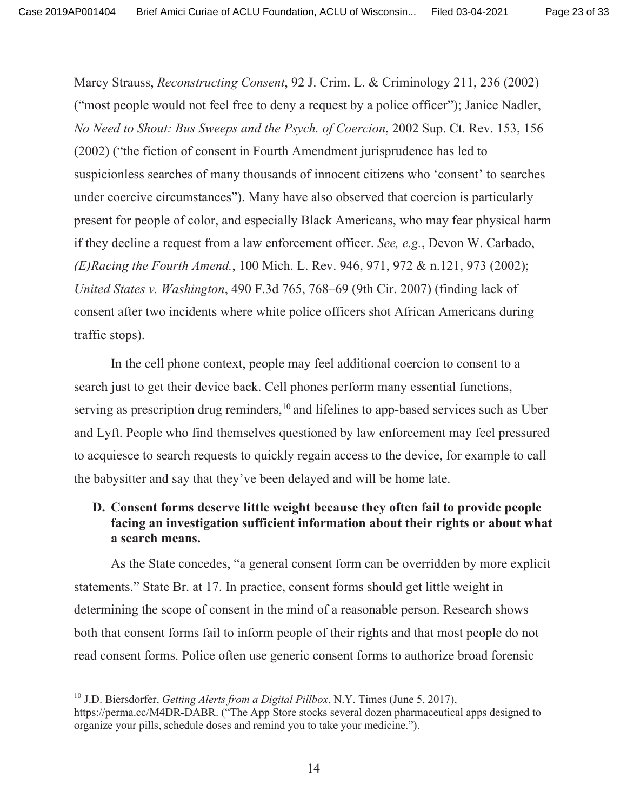Marcy Strauss, Reconstructing Consent, 92 J. Crim. L. & Criminology 211, 236 (2002) ("most people would not feel free to deny a request by a police officer"); Janice Nadler, No Need to Shout: Bus Sweeps and the Psych. of Coercion, 2002 Sup. Ct. Rev. 153, 156 (2002) ("the fiction of consent in Fourth Amendment jurisprudence has led to suspicionless searches of many thousands of innocent citizens who 'consent' to searches under coercive circumstances"). Many have also observed that coercion is particularly present for people of color, and especially Black Americans, who may fear physical harm if they decline a request from a law enforcement officer. See, e.g., Devon W. Carbado, (E)Racing the Fourth Amend., 100 Mich. L. Rev. 946, 971, 972 & n.121, 973 (2002); United States v. Washington, 490 F.3d 765, 768–69 (9th Cir. 2007) (finding lack of consent after two incidents where white police officers shot African Americans during traffic stops).

In the cell phone context, people may feel additional coercion to consent to a search just to get their device back. Cell phones perform many essential functions, serving as prescription drug reminders,<sup>10</sup> and lifelines to app-based services such as Uber and Lyft. People who find themselves questioned by law enforcement may feel pressured to acquiesce to search requests to quickly regain access to the device, for example to call the babysitter and say that they've been delayed and will be home late.

## D. Consent forms deserve little weight because they often fail to provide people facing an investigation sufficient information about their rights or about what a search means.

As the State concedes, "a general consent form can be overridden by more explicit statements." State Br. at 17. In practice, consent forms should get little weight in determining the scope of consent in the mind of a reasonable person. Research shows both that consent forms fail to inform people of their rights and that most people do not read consent forms. Police often use generic consent forms to authorize broad forensic

<sup>&</sup>lt;sup>10</sup> J.D. Biersdorfer, *Getting Alerts from a Digital Pillbox*, N.Y. Times (June 5, 2017), https://perma.cc/M4DR-DABR. ("The App Store stocks several dozen pharmaceutical apps designed to organize your pills, schedule doses and remind you to take your medicine.").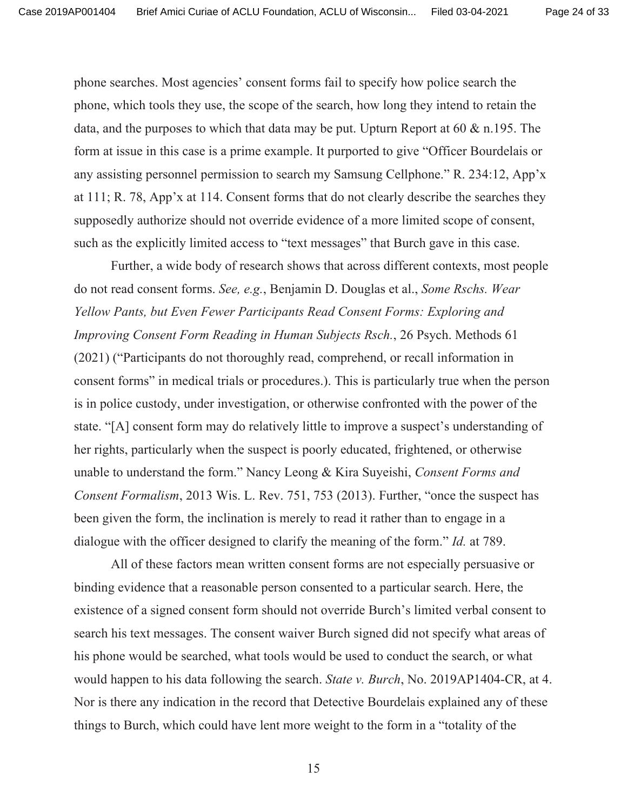Page 24 of 33

phone searches. Most agencies' consent forms fail to specify how police search the phone, which tools they use, the scope of the search, how long they intend to retain the data, and the purposes to which that data may be put. Upturn Report at  $60 \& n.195$ . The form at issue in this case is a prime example. It purported to give "Officer Bourdelais or any assisting personnel permission to search my Samsung Cellphone." R. 234:12, App'x at 111; R. 78, App'x at 114. Consent forms that do not clearly describe the searches they supposedly authorize should not override evidence of a more limited scope of consent, such as the explicitly limited access to "text messages" that Burch gave in this case.

Further, a wide body of research shows that across different contexts, most people do not read consent forms. See, e.g., Benjamin D. Douglas et al., Some Rschs. Wear Yellow Pants, but Even Fewer Participants Read Consent Forms: Exploring and Improving Consent Form Reading in Human Subjects Rsch., 26 Psych. Methods 61 (2021) ("Participants do not thoroughly read, comprehend, or recall information in consent forms" in medical trials or procedures.). This is particularly true when the person is in police custody, under investigation, or otherwise confronted with the power of the state. "[A] consent form may do relatively little to improve a suspect's understanding of her rights, particularly when the suspect is poorly educated, frightened, or otherwise unable to understand the form." Nancy Leong & Kira Suyeishi, Consent Forms and Consent Formalism, 2013 Wis. L. Rev. 751, 753 (2013). Further, "once the suspect has been given the form, the inclination is merely to read it rather than to engage in a dialogue with the officer designed to clarify the meaning of the form." *Id.* at 789.

All of these factors mean written consent forms are not especially persuasive or binding evidence that a reasonable person consented to a particular search. Here, the existence of a signed consent form should not override Burch's limited verbal consent to search his text messages. The consent waiver Burch signed did not specify what areas of his phone would be searched, what tools would be used to conduct the search, or what would happen to his data following the search. State v. Burch, No. 2019AP1404-CR, at 4. Nor is there any indication in the record that Detective Bourdelais explained any of these things to Burch, which could have lent more weight to the form in a "totality of the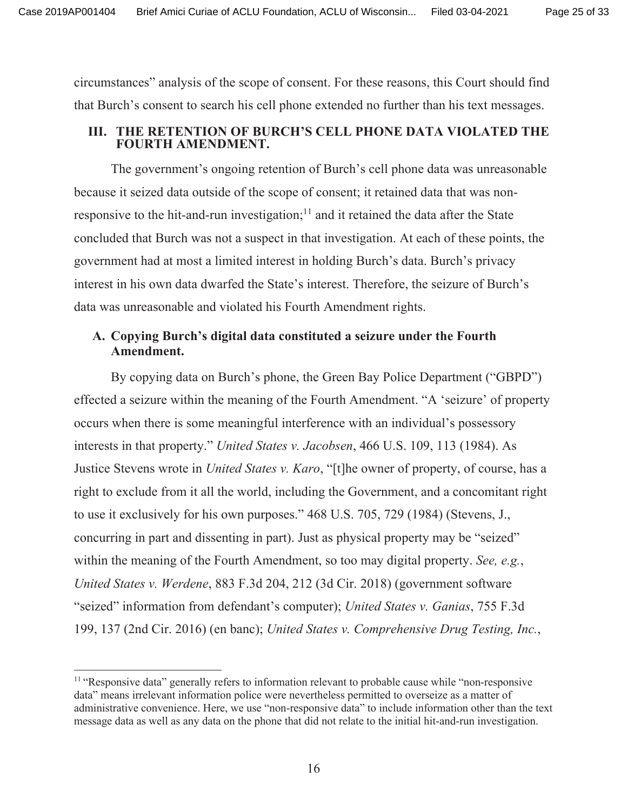Page 25 of 33

eircumstances" analysis of the scope of consent. For these reasons, this Court should find that Burch's consent to search his cell phone extended no further than his text messages.

## III. THE RETENTION OF BURCH'S CELL PHONE DATA VIOLATED THE **FOURTH AMENDMENT.**

The government's ongoing retention of Burch's cell phone data was unreasonable because it seized data outside of the scope of consent; it retained data that was nonresponsive to the hit-and-run investigation;<sup>11</sup> and it retained the data after the State concluded that Burch was not a suspect in that investigation. At each of these points, the government had at most a limited interest in holding Burch's data. Burch's privacy interest in his own data dwarfed the State's interest. Therefore, the seizure of Burch's data was unreasonable and violated his Fourth Amendment rights.

## A. Copying Burch's digital data constituted a seizure under the Fourth Amendment.

By copying data on Burch's phone, the Green Bay Police Department ("GBPD") effected a seizure within the meaning of the Fourth Amendment. "A 'seizure' of property b) occurs when there is some meaningful interference with an individual's possessory interests in that property." *United States v. Jacobsen*, 466 U.S. 109, 113 (1984). As Justice Stevens wrote in *United States v. Karo*, "[t]he owner of property, of course, has a right to exclude from it all the world, including the Government, and a concomitant right to use it exclusively for his own purposes."  $468$  U.S.  $705$ ,  $729$  (1984) (Stevens, J., concurring in part and dissenting in part). Just as physical property may be "seized" within the meaning of the Fourth Amendment, so too may digital property. See, e.g., United States v. Werdene, 883 F.3d 204, 212 (3d Cir. 2018) (government software "seized" information from defendant's computer); *United States v. Ganias*, 755 F.3d 199, 137 (2nd Cir. 2016) (en banc); *United States v. Comprehensive Drug Testing, Inc.,* 

 $^{11}$  "Responsive data" generally refers to information relevant to probable cause while "non-responsive" data" means irrelevant information police were nevertheless permitted to overseize as a matter of administrative convenience. Here, we use "non-responsive data" to include information other than the text message data as well as any data on the phone that did not relate to the initial hit-and-run investigation.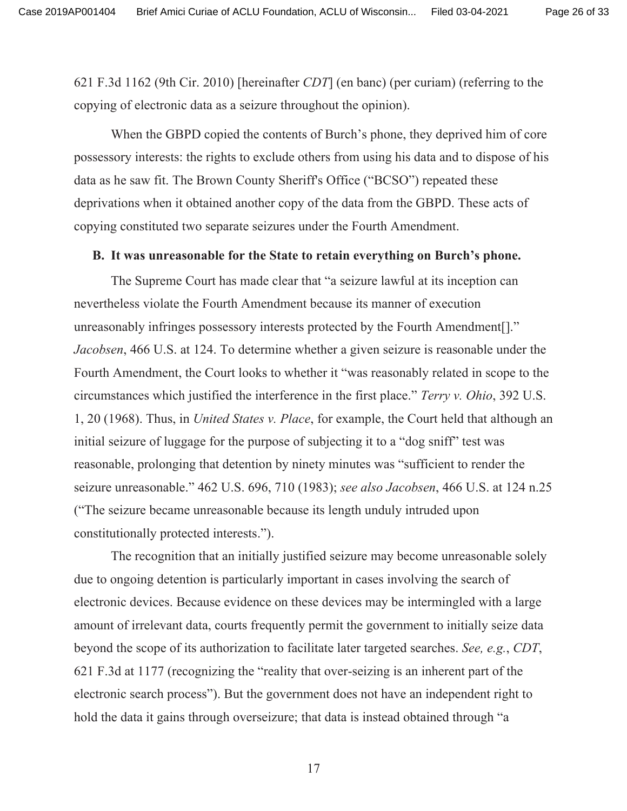621 F.3d 1162 (9th Cir. 2010) [hereinafter CDT] (en banc) (per curiam) (referring to the copying of electronic data as a seizure throughout the opinion).

When the GBPD copied the contents of Burch's phone, they deprived him of core possessory interests: the rights to exclude others from using his data and to dispose of his data as he saw fit. The Brown County Sheriff's Office ("BCSO") repeated these deprivations when it obtained another copy of the data from the GBPD. These acts of copying constituted two separate seizures under the Fourth Amendment.

### B. It was unreasonable for the State to retain everything on Burch's phone.

The Supreme Court has made clear that "a seizure lawful at its inception can nevertheless violate the Fourth Amendment because its manner of execution unreasonably infringes possessory interests protected by the Fourth Amendment[]." Jacobsen, 466 U.S. at 124. To determine whether a given seizure is reasonable under the Fourth Amendment, the Court looks to whether it "was reasonably related in scope to the circumstances which justified the interference in the first place." Terry v. Ohio, 392 U.S. 1, 20 (1968). Thus, in *United States v. Place*, for example, the Court held that although an initial seizure of luggage for the purpose of subjecting it to a "dog sniff" test was reasonable, prolonging that detention by ninety minutes was "sufficient to render the seizure unreasonable." 462 U.S. 696, 710 (1983); see also Jacobsen, 466 U.S. at 124 n.25 ("The seizure became unreasonable because its length unduly intruded upon constitutionally protected interests.").

The recognition that an initially justified seizure may become unreasonable solely due to ongoing detention is particularly important in cases involving the search of electronic devices. Because evidence on these devices may be intermingled with a large amount of irrelevant data, courts frequently permit the government to initially seize data beyond the scope of its authorization to facilitate later targeted searches. See, e.g., CDT, 621 F.3d at 1177 (recognizing the "reality that over-seizing is an inherent part of the electronic search process"). But the government does not have an independent right to hold the data it gains through overseizure; that data is instead obtained through "a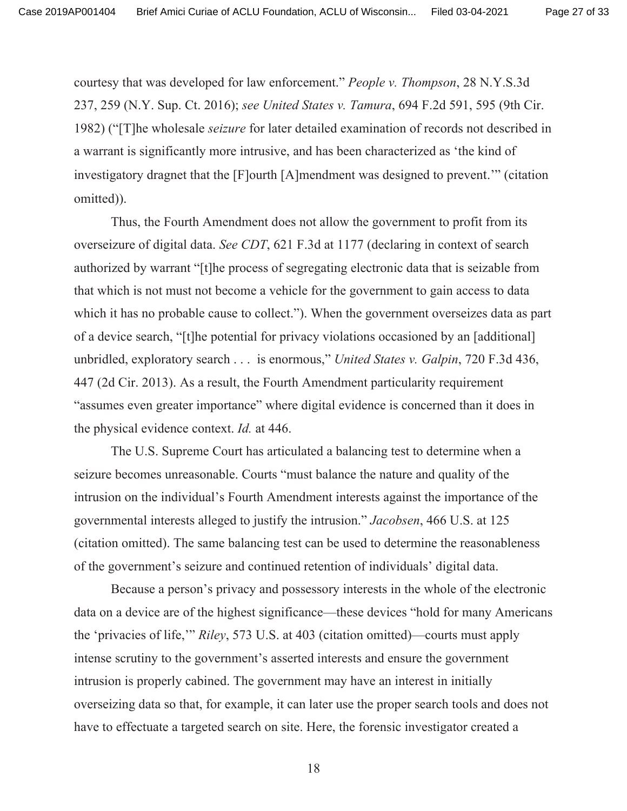courtesy that was developed for law enforcement." People v. Thompson, 28 N.Y.S.3d 237, 259 (N.Y. Sup. Ct. 2016); see United States v. Tamura, 694 F.2d 591, 595 (9th Cir. 1982) ("The wholesale *seizure* for later detailed examination of records not described in a warrant is significantly more intrusive, and has been characterized as 'the kind of investigatory dragnet that the [F] ourth [A] mendment was designed to prevent." (citation omitted)).

Thus, the Fourth Amendment does not allow the government to profit from its overseizure of digital data. See CDT, 621 F.3d at 1177 (declaring in context of search authorized by warrant "[t] he process of segregating electronic data that is seizable from that which is not must not become a vehicle for the government to gain access to data which it has no probable cause to collect."). When the government overseizes data as part of a device search, "[t] he potential for privacy violations occasioned by an [additional] unbridled, exploratory search . . . is enormous," United States v. Galpin, 720 F.3d 436, 447 (2d Cir. 2013). As a result, the Fourth Amendment particularity requirement "assumes even greater importance" where digital evidence is concerned than it does in the physical evidence context. *Id.* at 446.

The U.S. Supreme Court has articulated a balancing test to determine when a seizure becomes unreasonable. Courts "must balance the nature and quality of the intrusion on the individual's Fourth Amendment interests against the importance of the governmental interests alleged to justify the intrusion." Jacobsen, 466 U.S. at 125 (citation omitted). The same balancing test can be used to determine the reasonableness of the government's seizure and continued retention of individuals' digital data.

Because a person's privacy and possessory interests in the whole of the electronic data on a device are of the highest significance—these devices "hold for many Americans" the 'privacies of life," Riley, 573 U.S. at 403 (citation omitted)—courts must apply intense scrutiny to the government's asserted interests and ensure the government intrusion is properly cabined. The government may have an interest in initially overseizing data so that, for example, it can later use the proper search tools and does not have to effectuate a targeted search on site. Here, the forensic investigator created a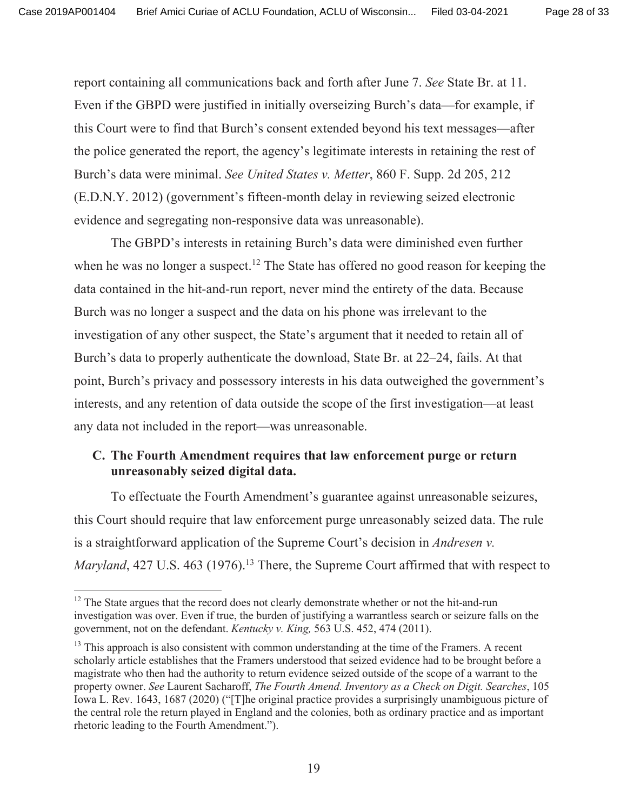report containing all communications back and forth after June 7. See State Br. at 11. Even if the GBPD were justified in initially overseizing Burch's data—for example, if this Court were to find that Burch's consent extended beyond his text messages—after the police generated the report, the agency's legitimate interests in retaining the rest of Burch's data were minimal. See United States v. Metter, 860 F. Supp. 2d 205, 212 (E.D.N.Y. 2012) (government's fifteen-month delay in reviewing seized electronic evidence and segregating non-responsive data was unreasonable).

The GBPD's interests in retaining Burch's data were diminished even further when he was no longer a suspect.<sup>12</sup> The State has offered no good reason for keeping the data contained in the hit-and-run report, never mind the entirety of the data. Because Burch was no longer a suspect and the data on his phone was irrelevant to the investigation of any other suspect, the State's argument that it needed to retain all of Burch's data to properly authenticate the download, State Br. at 22–24, fails. At that point, Burch's privacy and possessory interests in his data outweighed the government's interests, and any retention of data outside the scope of the first investigation—at least any data not included in the report—was unreasonable.

## C. The Fourth Amendment requires that law enforcement purge or return unreasonably seized digital data.

To effectuate the Fourth Amendment's guarantee against unreasonable seizures, this Court should require that law enforcement purge unreasonably seized data. The rule is a straightforward application of the Supreme Court's decision in *Andresen v*. *Maryland*, 427 U.S. 463 (1976).<sup>13</sup> There, the Supreme Court affirmed that with respect to

<sup>&</sup>lt;sup>12</sup> The State argues that the record does not clearly demonstrate whether or not the hit-and-run investigation was over. Even if true, the burden of justifying a warrantless search or seizure falls on the government, not on the defendant. Kentucky v. King, 563 U.S. 452, 474 (2011).

<sup>&</sup>lt;sup>13</sup> This approach is also consistent with common understanding at the time of the Framers. A recent scholarly article establishes that the Framers understood that seized evidence had to be brought before a magistrate who then had the authority to return evidence seized outside of the scope of a warrant to the property owner. See Laurent Sacharoff, The Fourth Amend. Inventory as a Check on Digit. Searches, 105 Iowa L. Rev. 1643, 1687 (2020) ("The original practice provides a surprisingly unambiguous picture of the central role the return played in England and the colonies, both as ordinary practice and as important rhetoric leading to the Fourth Amendment.").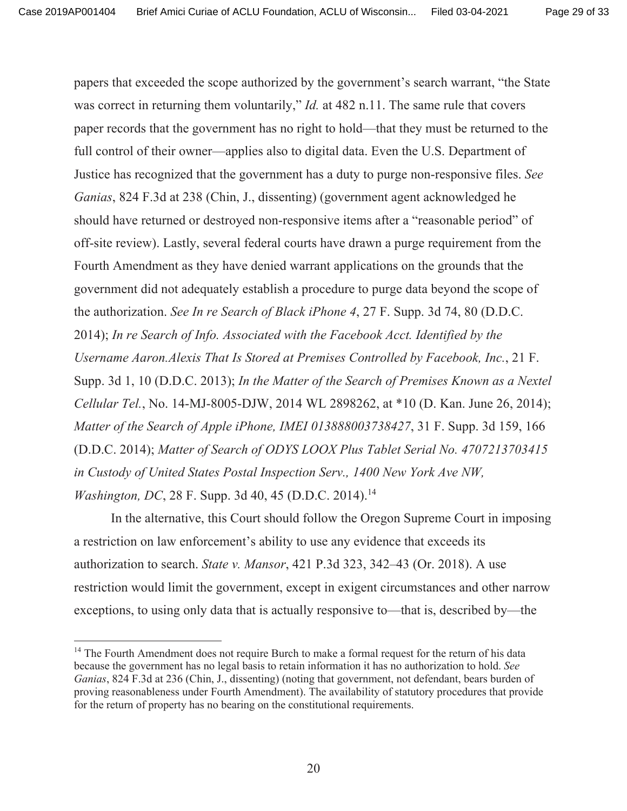papers that exceeded the scope authorized by the government's search warrant, "the State" was correct in returning them voluntarily," *Id.* at 482 n.11. The same rule that covers paper records that the government has no right to hold—that they must be returned to the full control of their owner—applies also to digital data. Even the U.S. Department of Justice has recognized that the government has a duty to purge non-responsive files. See Ganias, 824 F.3d at 238 (Chin, J., dissenting) (government agent acknowledged he should have returned or destroyed non-responsive items after a "reasonable period" of off-site review). Lastly, several federal courts have drawn a purge requirement from the Fourth Amendment as they have denied warrant applications on the grounds that the government did not adequately establish a procedure to purge data beyond the scope of the authorization. See In re Search of Black iPhone 4, 27 F. Supp. 3d 74, 80 (D.D.C. 2014); In re Search of Info. Associated with the Facebook Acct. Identified by the Username Aaron. Alexis That Is Stored at Premises Controlled by Facebook, Inc., 21 F. Supp. 3d 1, 10 (D.D.C. 2013); In the Matter of the Search of Premises Known as a Nextel Cellular Tel., No. 14-MJ-8005-DJW, 2014 WL 2898262, at \*10 (D. Kan. June 26, 2014); Matter of the Search of Apple iPhone, IMEI 013888003738427, 31 F. Supp. 3d 159, 166 (D.D.C. 2014); Matter of Search of ODYS LOOX Plus Tablet Serial No. 4707213703415 in Custody of United States Postal Inspection Serv., 1400 New York Ave NW, *Washington, DC, 28 F. Supp. 3d 40, 45 (D.D.C. 2014).*<sup>14</sup>

In the alternative, this Court should follow the Oregon Supreme Court in imposing a restriction on law enforcement's ability to use any evidence that exceeds its authorization to search. State v. Mansor, 421 P.3d 323, 342–43 (Or. 2018). A use restriction would limit the government, except in exigent circumstances and other narrow exceptions, to using only data that is actually responsive to—that is, described by—the

<sup>&</sup>lt;sup>14</sup> The Fourth Amendment does not require Burch to make a formal request for the return of his data because the government has no legal basis to retain information it has no authorization to hold. See Ganias, 824 F.3d at 236 (Chin, J., dissenting) (noting that government, not defendant, bears burden of proving reasonableness under Fourth Amendment). The availability of statutory procedures that provide for the return of property has no bearing on the constitutional requirements.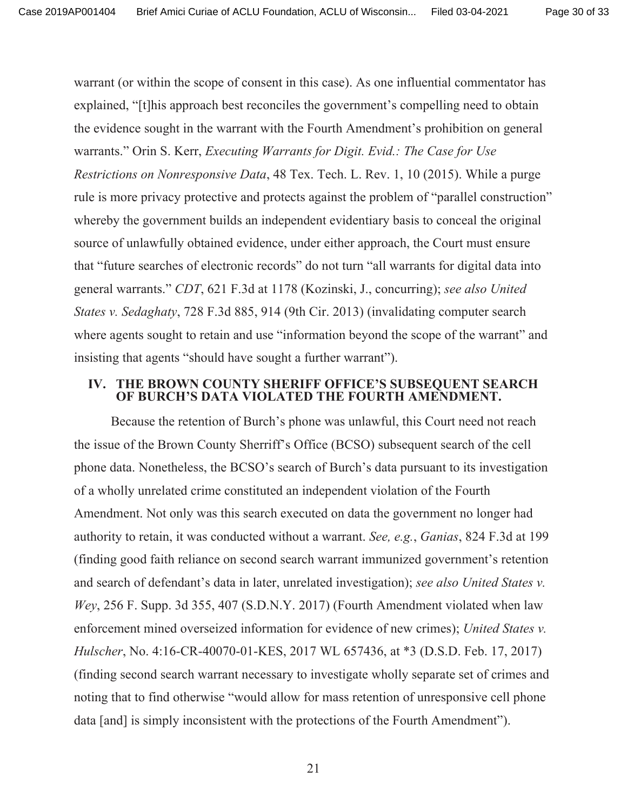warrant (or within the scope of consent in this case). As one influential commentator has explained, "[t] his approach best reconciles the government's compelling need to obtain the evidence sought in the warrant with the Fourth Amendment's prohibition on general warrants." Orin S. Kerr, Executing Warrants for Digit. Evid.: The Case for Use *Restrictions on Nonresponsive Data*, 48 Tex. Tech. L. Rev. 1, 10 (2015). While a purge rule is more privacy protective and protects against the problem of "parallel construction" whereby the government builds an independent evidentiary basis to conceal the original source of unlawfully obtained evidence, under either approach, the Court must ensure that "future searches of electronic records" do not turn "all warrants for digital data into general warrants." CDT, 621 F.3d at 1178 (Kozinski, J., concurring); see also United States v. Sedaghaty, 728 F.3d 885, 914 (9th Cir. 2013) (invalidating computer search where agents sought to retain and use "information beyond the scope of the warrant" and insisting that agents "should have sought a further warrant").

### IV. THE BROWN COUNTY SHERIFF OFFICE'S SUBSEOUENT SEARCH OF BURCH'S DATA VIOLATED THE FOURTH AMENDMENT.

Because the retention of Burch's phone was unlawful, this Court need not reach the issue of the Brown County Sherriff's Office (BCSO) subsequent search of the cell phone data. Nonetheless, the BCSO's search of Burch's data pursuant to its investigation of a wholly unrelated crime constituted an independent violation of the Fourth Amendment. Not only was this search executed on data the government no longer had authority to retain, it was conducted without a warrant. See, e.g., Ganias, 824 F.3d at 199 (finding good faith reliance on second search warrant immunized government's retention and search of defendant's data in later, unrelated investigation); see also United States v. Wey, 256 F. Supp. 3d 355, 407 (S.D.N.Y. 2017) (Fourth Amendment violated when law enforcement mined overseized information for evidence of new crimes); United States v. Hulscher, No. 4:16-CR-40070-01-KES, 2017 WL 657436, at \*3 (D.S.D. Feb. 17, 2017) (finding second search warrant necessary to investigate wholly separate set of crimes and noting that to find otherwise "would allow for mass retention of unresponsive cell phone data [and] is simply inconsistent with the protections of the Fourth Amendment").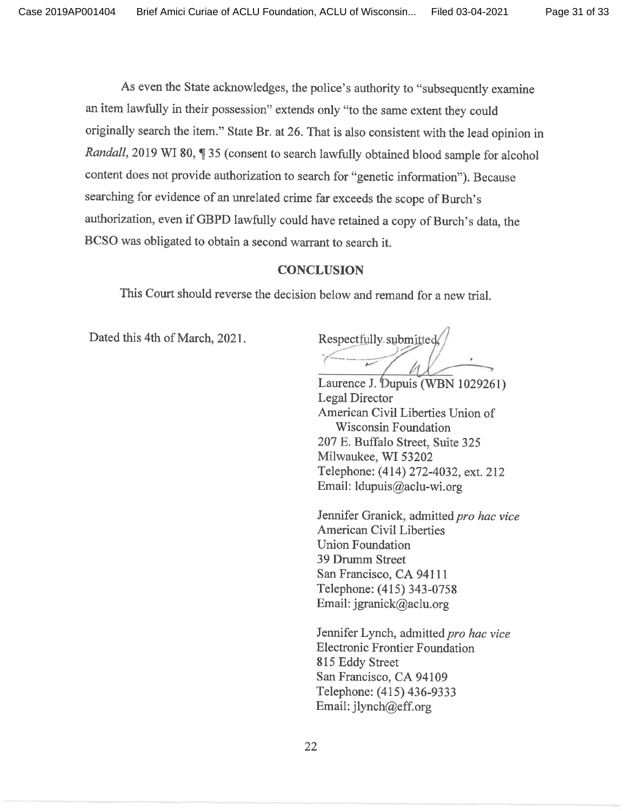As even the State acknowledges, the police's authority to "subsequently examine" an item lawfully in their possession" extends only "to the same extent they could originally search the item." State Br. at 26. That is also consistent with the lead opinion in Randall, 2019 WI 80, ¶ 35 (consent to search lawfully obtained blood sample for alcohol content does not provide authorization to search for "genetic information"). Because searching for evidence of an unrelated crime far exceeds the scope of Burch's authorization, even if GBPD lawfully could have retained a copy of Burch's data, the BCSO was obligated to obtain a second warrant to search it.

### **CONCLUSION**

This Court should reverse the decision below and remand for a new trial.

Dated this 4th of March, 2021.

Respectfully submitted,

Laurence J. Dupuis (WBN 1029261) Legal Director American Civil Liberties Union of **Wisconsin Foundation** 207 E. Buffalo Street, Suite 325 Milwaukee, WI 53202 Telephone: (414) 272-4032, ext. 212 Email: ldupuis@aclu-wi.org

Jennifer Granick, admitted pro hac vice **American Civil Liberties Union Foundation** 39 Drumm Street San Francisco, CA 94111 Telephone: (415) 343-0758 Email: jgranick@aclu.org

Jennifer Lynch, admitted pro hac vice **Electronic Frontier Foundation** 815 Eddy Street San Francisco, CA 94109 Telephone: (415) 436-9333 Email: jlynch@eff.org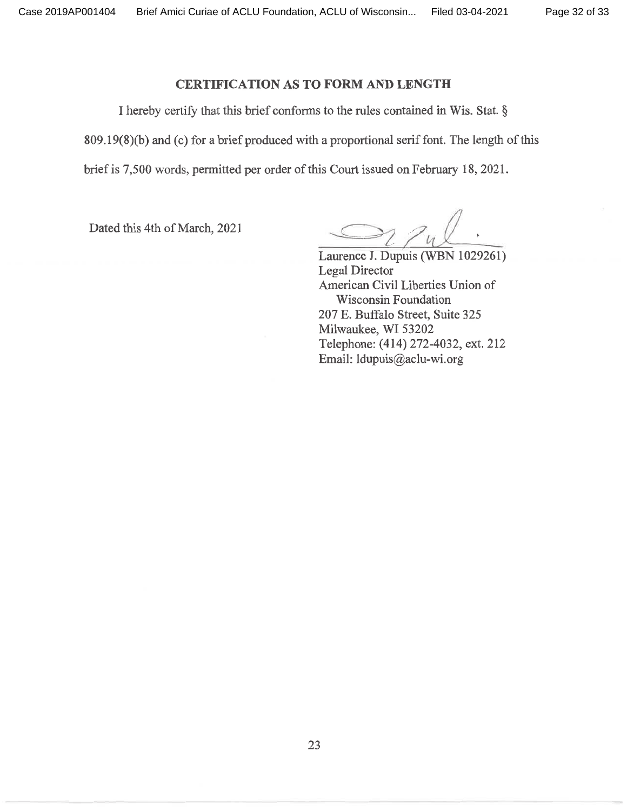### **CERTIFICATION AS TO FORM AND LENGTH**

I hereby certify that this brief conforms to the rules contained in Wis. Stat. § 809.19(8)(b) and (c) for a brief produced with a proportional serif font. The length of this brief is 7,500 words, permitted per order of this Court issued on February 18, 2021.

Dated this 4th of March, 2021

Laurence J. Dupuis (WBN 1029261) **Legal Director** American Civil Liberties Union of **Wisconsin Foundation** 207 E. Buffalo Street, Suite 325 Milwaukee, WI 53202 Telephone: (414) 272-4032, ext. 212 Email: ldupuis@aclu-wi.org